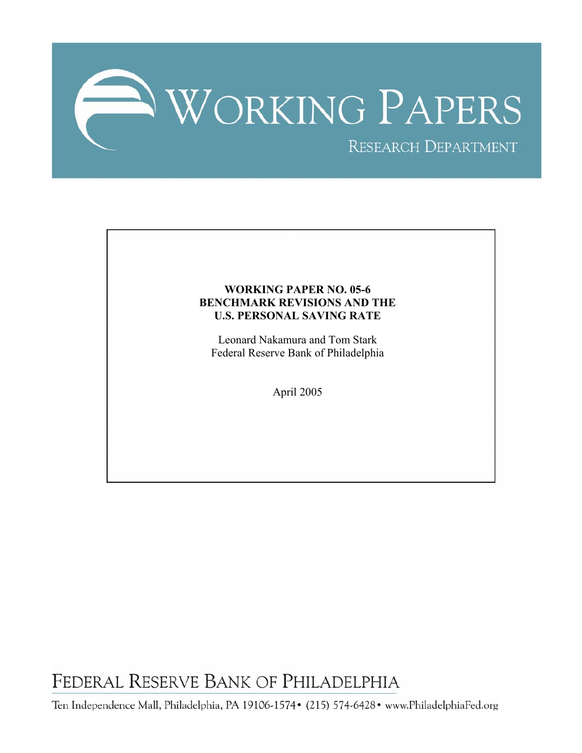

## **WORKING PAPER NO. 05-6 BENCHMARK REVISIONS AND THE U.S. PERSONAL SAVING RATE**

Leonard Nakamura and Tom Stark Federal Reserve Bank of Philadelphia

April 2005

FEDERAL RESERVE BANK OF PHILADELPHIA

Ten Independence Mall, Philadelphia, PA 19106-1574• (215) 574-6428• www.PhiladelphiaFed.org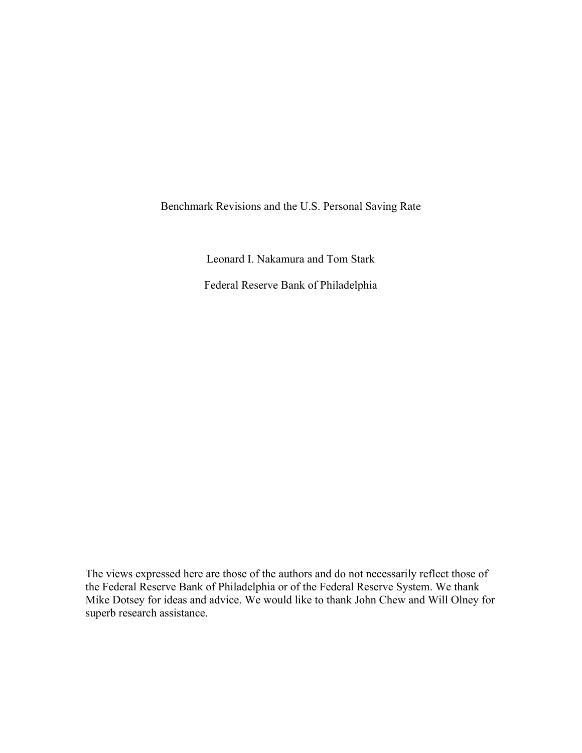Benchmark Revisions and the U.S. Personal Saving Rate

Leonard I. Nakamura and Tom Stark

Federal Reserve Bank of Philadelphia

The views expressed here are those of the authors and do not necessarily reflect those of the Federal Reserve Bank of Philadelphia or of the Federal Reserve System. We thank Mike Dotsey for ideas and advice. We would like to thank John Chew and Will Olney for superb research assistance.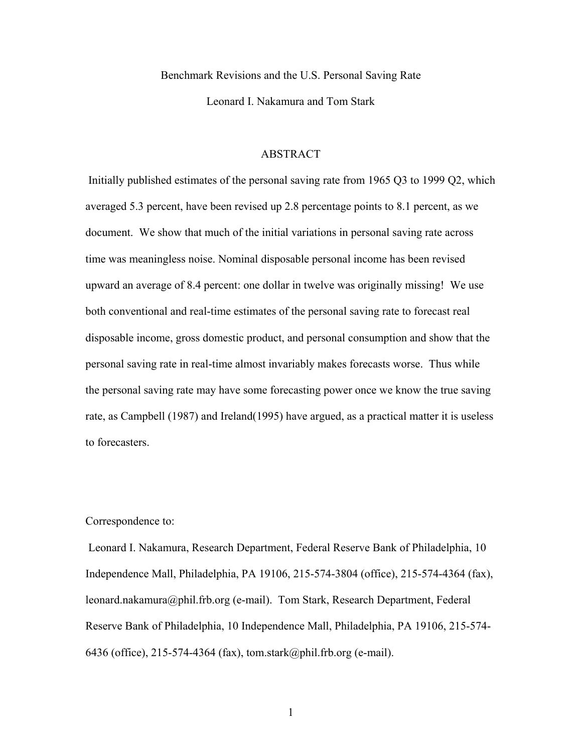Benchmark Revisions and the U.S. Personal Saving Rate

Leonard I. Nakamura and Tom Stark

#### ABSTRACT

 Initially published estimates of the personal saving rate from 1965 Q3 to 1999 Q2, which averaged 5.3 percent, have been revised up 2.8 percentage points to 8.1 percent, as we document. We show that much of the initial variations in personal saving rate across time was meaningless noise. Nominal disposable personal income has been revised upward an average of 8.4 percent: one dollar in twelve was originally missing! We use both conventional and real-time estimates of the personal saving rate to forecast real disposable income, gross domestic product, and personal consumption and show that the personal saving rate in real-time almost invariably makes forecasts worse. Thus while the personal saving rate may have some forecasting power once we know the true saving rate, as Campbell (1987) and Ireland(1995) have argued, as a practical matter it is useless to forecasters.

### Correspondence to:

 Leonard I. Nakamura, Research Department, Federal Reserve Bank of Philadelphia, 10 Independence Mall, Philadelphia, PA 19106, 215-574-3804 (office), 215-574-4364 (fax), leonard.nakamura@phil.frb.org (e-mail). Tom Stark, Research Department, Federal Reserve Bank of Philadelphia, 10 Independence Mall, Philadelphia, PA 19106, 215-574- 6436 (office), 215-574-4364 (fax), tom.stark@phil.frb.org (e-mail).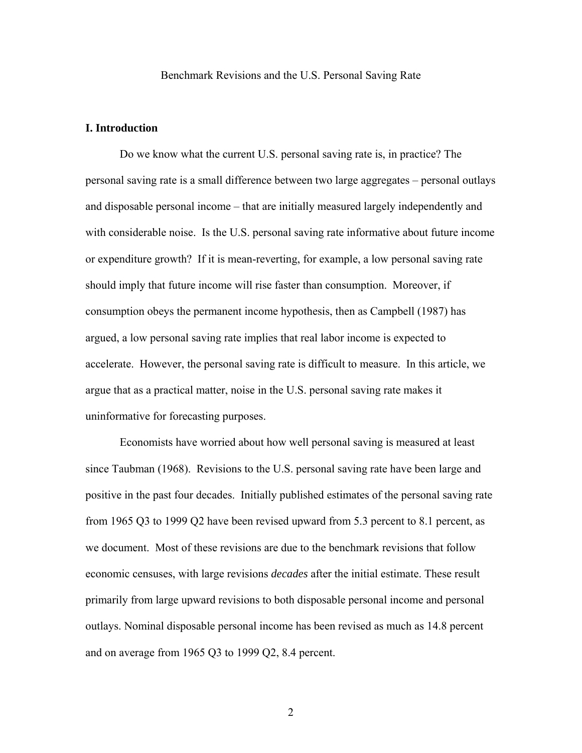#### Benchmark Revisions and the U.S. Personal Saving Rate

## **I. Introduction**

Do we know what the current U.S. personal saving rate is, in practice? The personal saving rate is a small difference between two large aggregates – personal outlays and disposable personal income – that are initially measured largely independently and with considerable noise. Is the U.S. personal saving rate informative about future income or expenditure growth? If it is mean-reverting, for example, a low personal saving rate should imply that future income will rise faster than consumption. Moreover, if consumption obeys the permanent income hypothesis, then as Campbell (1987) has argued, a low personal saving rate implies that real labor income is expected to accelerate. However, the personal saving rate is difficult to measure. In this article, we argue that as a practical matter, noise in the U.S. personal saving rate makes it uninformative for forecasting purposes.

Economists have worried about how well personal saving is measured at least since Taubman (1968). Revisions to the U.S. personal saving rate have been large and positive in the past four decades. Initially published estimates of the personal saving rate from 1965 Q3 to 1999 Q2 have been revised upward from 5.3 percent to 8.1 percent, as we document. Most of these revisions are due to the benchmark revisions that follow economic censuses, with large revisions *decades* after the initial estimate. These result primarily from large upward revisions to both disposable personal income and personal outlays. Nominal disposable personal income has been revised as much as 14.8 percent and on average from 1965 Q3 to 1999 Q2, 8.4 percent.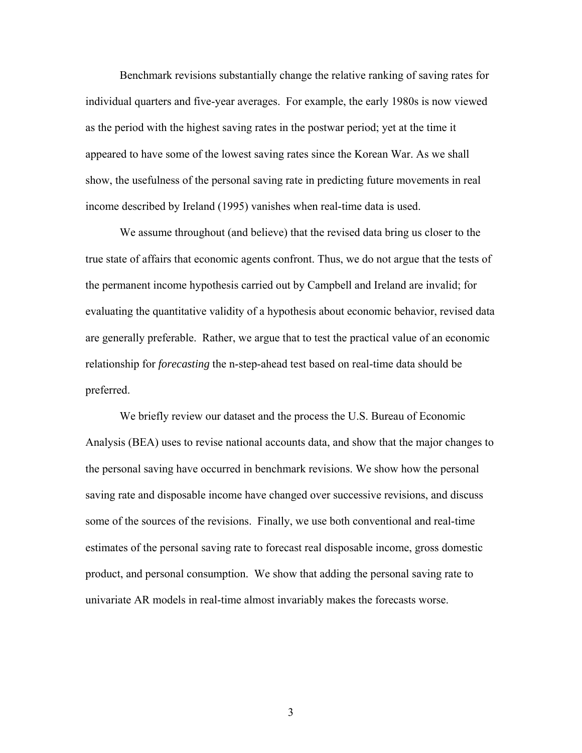Benchmark revisions substantially change the relative ranking of saving rates for individual quarters and five-year averages. For example, the early 1980s is now viewed as the period with the highest saving rates in the postwar period; yet at the time it appeared to have some of the lowest saving rates since the Korean War. As we shall show, the usefulness of the personal saving rate in predicting future movements in real income described by Ireland (1995) vanishes when real-time data is used.

We assume throughout (and believe) that the revised data bring us closer to the true state of affairs that economic agents confront. Thus, we do not argue that the tests of the permanent income hypothesis carried out by Campbell and Ireland are invalid; for evaluating the quantitative validity of a hypothesis about economic behavior, revised data are generally preferable. Rather, we argue that to test the practical value of an economic relationship for *forecasting* the n-step-ahead test based on real-time data should be preferred.

We briefly review our dataset and the process the U.S. Bureau of Economic Analysis (BEA) uses to revise national accounts data, and show that the major changes to the personal saving have occurred in benchmark revisions. We show how the personal saving rate and disposable income have changed over successive revisions, and discuss some of the sources of the revisions. Finally, we use both conventional and real-time estimates of the personal saving rate to forecast real disposable income, gross domestic product, and personal consumption. We show that adding the personal saving rate to univariate AR models in real-time almost invariably makes the forecasts worse.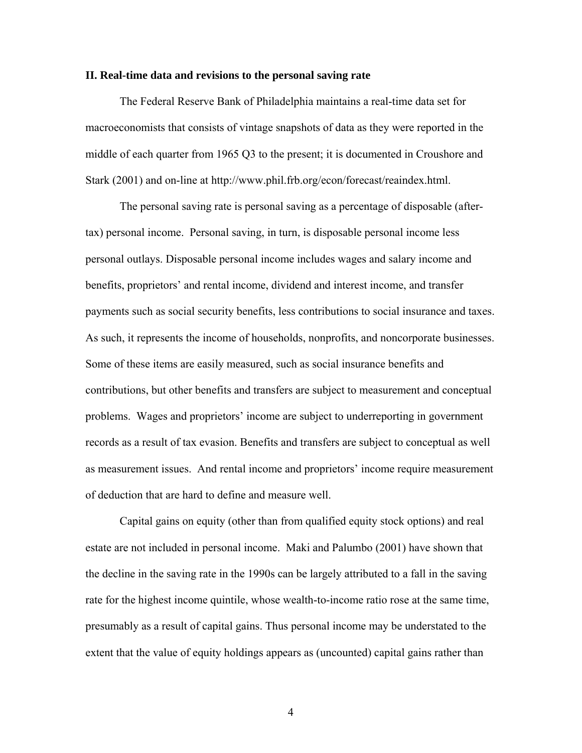#### **II. Real-time data and revisions to the personal saving rate**

The Federal Reserve Bank of Philadelphia maintains a real-time data set for macroeconomists that consists of vintage snapshots of data as they were reported in the middle of each quarter from 1965 Q3 to the present; it is documented in Croushore and Stark (2001) and on-line at http://www.phil.frb.org/econ/forecast/reaindex.html.

The personal saving rate is personal saving as a percentage of disposable (aftertax) personal income. Personal saving, in turn, is disposable personal income less personal outlays. Disposable personal income includes wages and salary income and benefits, proprietors' and rental income, dividend and interest income, and transfer payments such as social security benefits, less contributions to social insurance and taxes. As such, it represents the income of households, nonprofits, and noncorporate businesses. Some of these items are easily measured, such as social insurance benefits and contributions, but other benefits and transfers are subject to measurement and conceptual problems. Wages and proprietors' income are subject to underreporting in government records as a result of tax evasion. Benefits and transfers are subject to conceptual as well as measurement issues. And rental income and proprietors' income require measurement of deduction that are hard to define and measure well.

Capital gains on equity (other than from qualified equity stock options) and real estate are not included in personal income. Maki and Palumbo (2001) have shown that the decline in the saving rate in the 1990s can be largely attributed to a fall in the saving rate for the highest income quintile, whose wealth-to-income ratio rose at the same time, presumably as a result of capital gains. Thus personal income may be understated to the extent that the value of equity holdings appears as (uncounted) capital gains rather than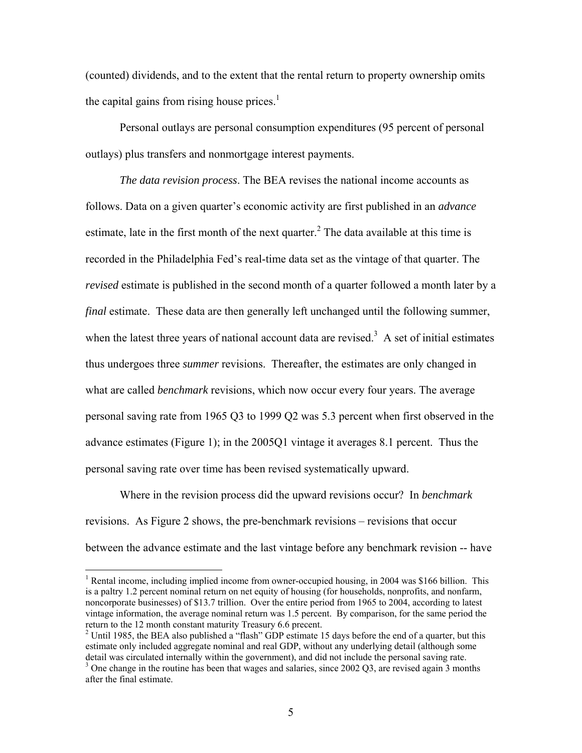(counted) dividends, and to the extent that the rental return to property ownership omits the capital gains from rising house prices. $1$ 

Personal outlays are personal consumption expenditures (95 percent of personal outlays) plus transfers and nonmortgage interest payments.

*The data revision process*. The BEA revises the national income accounts as follows. Data on a given quarter's economic activity are first published in an *advance* estimate, late in the first month of the next quarter.<sup>[2](#page-6-1)</sup> The data available at this time is recorded in the Philadelphia Fed's real-time data set as the vintage of that quarter. The *revised* estimate is published in the second month of a quarter followed a month later by a *final* estimate. These data are then generally left unchanged until the following summer, when the latest three years of national account data are revised.<sup>[3](#page-6-2)</sup> A set of initial estimates thus undergoes three *summer* revisions. Thereafter, the estimates are only changed in what are called *benchmark* revisions, which now occur every four years. The average personal saving rate from 1965 Q3 to 1999 Q2 was 5.3 percent when first observed in the advance estimates (Figure 1); in the 2005Q1 vintage it averages 8.1 percent. Thus the personal saving rate over time has been revised systematically upward.

Where in the revision process did the upward revisions occur? In *benchmark* revisions. As Figure 2 shows, the pre-benchmark revisions – revisions that occur between the advance estimate and the last vintage before any benchmark revision -- have

 $\overline{a}$ 

<span id="page-6-0"></span><sup>&</sup>lt;sup>1</sup> Rental income, including implied income from owner-occupied housing, in 2004 was \$166 billion. This is a paltry 1.2 percent nominal return on net equity of housing (for households, nonprofits, and nonfarm, noncorporate businesses) of \$13.7 trillion. Over the entire period from 1965 to 2004, according to latest vintage information, the average nominal return was 1.5 percent. By comparison, for the same period the return to the 12 month constant maturity Treasury 6.6 precent. 2

<span id="page-6-1"></span><sup>&</sup>lt;sup>2</sup> Until 1985, the BEA also published a "flash" GDP estimate 15 days before the end of a quarter, but this estimate only included aggregate nominal and real GDP, without any underlying detail (although some detail was circulated internally within the government), and did not include the personal saving rate.

<span id="page-6-2"></span><sup>&</sup>lt;sup>3</sup> One change in the routine has been that wages and salaries, since 2002 Q3, are revised again 3 months after the final estimate.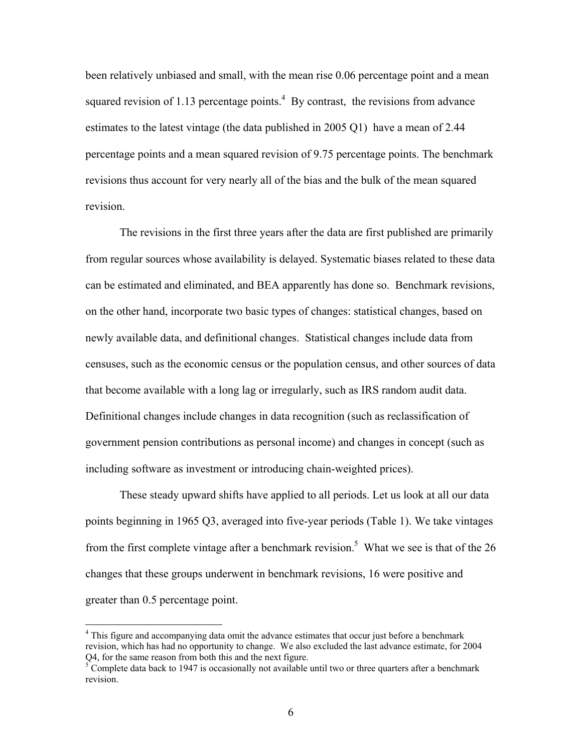been relatively unbiased and small, with the mean rise 0.06 percentage point and a mean squared revision of 1.13 percentage points.<sup>4</sup> By contrast, the revisions from advance estimates to the latest vintage (the data published in 2005 Q1) have a mean of 2.44 percentage points and a mean squared revision of 9.75 percentage points. The benchmark revisions thus account for very nearly all of the bias and the bulk of the mean squared revision.

The revisions in the first three years after the data are first published are primarily from regular sources whose availability is delayed. Systematic biases related to these data can be estimated and eliminated, and BEA apparently has done so. Benchmark revisions, on the other hand, incorporate two basic types of changes: statistical changes, based on newly available data, and definitional changes. Statistical changes include data from censuses, such as the economic census or the population census, and other sources of data that become available with a long lag or irregularly, such as IRS random audit data. Definitional changes include changes in data recognition (such as reclassification of government pension contributions as personal income) and changes in concept (such as including software as investment or introducing chain-weighted prices).

These steady upward shifts have applied to all periods. Let us look at all our data points beginning in 1965 Q3, averaged into five-year periods (Table 1). We take vintages from the first complete vintage after a benchmark revision.<sup>5</sup> What we see is that of the 26 changes that these groups underwent in benchmark revisions, 16 were positive and greater than 0.5 percentage point.

<span id="page-7-0"></span><sup>&</sup>lt;sup>4</sup> This figure and accompanying data omit the advance estimates that occur just before a benchmark revision, which has had no opportunity to change. We also excluded the last advance estimate, for 2004 Q4, for the same reason from both this and the next figure.

<span id="page-7-1"></span> $5$  Complete data back to 1947 is occasionally not available until two or three quarters after a benchmark revision.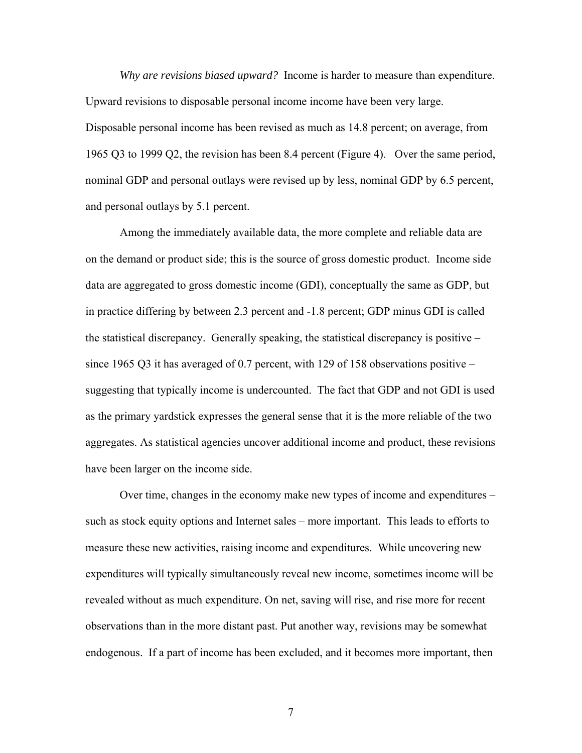*Why are revisions biased upward?* Income is harder to measure than expenditure. Upward revisions to disposable personal income income have been very large. Disposable personal income has been revised as much as 14.8 percent; on average, from 1965 Q3 to 1999 Q2, the revision has been 8.4 percent (Figure 4). Over the same period, nominal GDP and personal outlays were revised up by less, nominal GDP by 6.5 percent, and personal outlays by 5.1 percent.

Among the immediately available data, the more complete and reliable data are on the demand or product side; this is the source of gross domestic product. Income side data are aggregated to gross domestic income (GDI), conceptually the same as GDP, but in practice differing by between 2.3 percent and -1.8 percent; GDP minus GDI is called the statistical discrepancy. Generally speaking, the statistical discrepancy is positive – since 1965 Q3 it has averaged of 0.7 percent, with 129 of 158 observations positive  $$ suggesting that typically income is undercounted. The fact that GDP and not GDI is used as the primary yardstick expresses the general sense that it is the more reliable of the two aggregates. As statistical agencies uncover additional income and product, these revisions have been larger on the income side.

Over time, changes in the economy make new types of income and expenditures – such as stock equity options and Internet sales – more important. This leads to efforts to measure these new activities, raising income and expenditures. While uncovering new expenditures will typically simultaneously reveal new income, sometimes income will be revealed without as much expenditure. On net, saving will rise, and rise more for recent observations than in the more distant past. Put another way, revisions may be somewhat endogenous. If a part of income has been excluded, and it becomes more important, then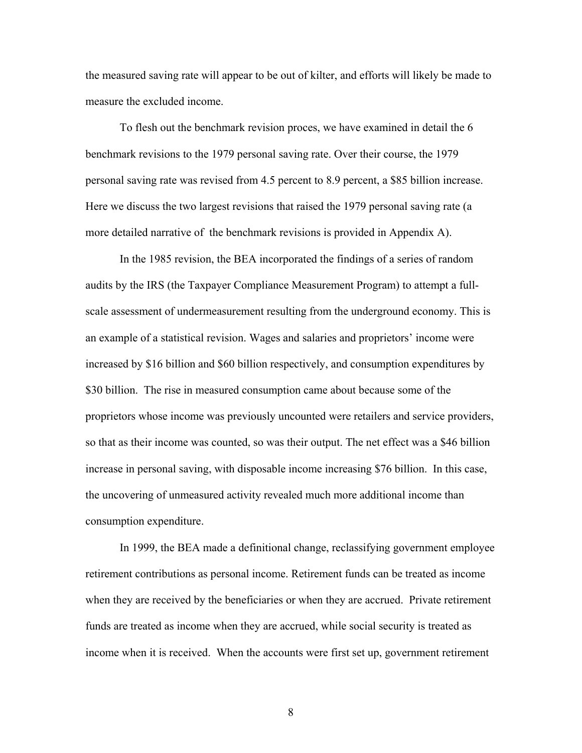the measured saving rate will appear to be out of kilter, and efforts will likely be made to measure the excluded income.

To flesh out the benchmark revision proces, we have examined in detail the 6 benchmark revisions to the 1979 personal saving rate. Over their course, the 1979 personal saving rate was revised from 4.5 percent to 8.9 percent, a \$85 billion increase. Here we discuss the two largest revisions that raised the 1979 personal saving rate (a more detailed narrative of the benchmark revisions is provided in Appendix A).

In the 1985 revision, the BEA incorporated the findings of a series of random audits by the IRS (the Taxpayer Compliance Measurement Program) to attempt a fullscale assessment of undermeasurement resulting from the underground economy. This is an example of a statistical revision. Wages and salaries and proprietors' income were increased by \$16 billion and \$60 billion respectively, and consumption expenditures by \$30 billion. The rise in measured consumption came about because some of the proprietors whose income was previously uncounted were retailers and service providers, so that as their income was counted, so was their output. The net effect was a \$46 billion increase in personal saving, with disposable income increasing \$76 billion. In this case, the uncovering of unmeasured activity revealed much more additional income than consumption expenditure.

In 1999, the BEA made a definitional change, reclassifying government employee retirement contributions as personal income. Retirement funds can be treated as income when they are received by the beneficiaries or when they are accrued. Private retirement funds are treated as income when they are accrued, while social security is treated as income when it is received. When the accounts were first set up, government retirement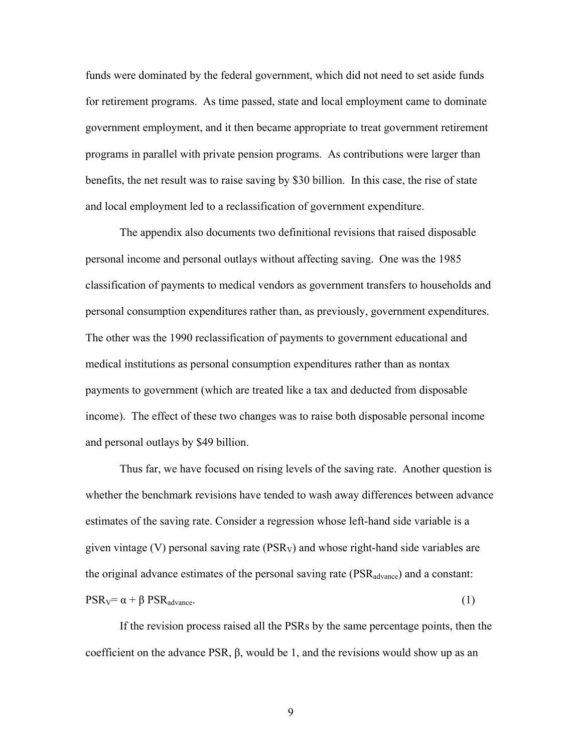funds were dominated by the federal government, which did not need to set aside funds for retirement programs. As time passed, state and local employment came to dominate government employment, and it then became appropriate to treat government retirement programs in parallel with private pension programs. As contributions were larger than benefits, the net result was to raise saving by \$30 billion. In this case, the rise of state and local employment led to a reclassification of government expenditure.

The appendix also documents two definitional revisions that raised disposable personal income and personal outlays without affecting saving. One was the 1985 classification of payments to medical vendors as government transfers to households and personal consumption expenditures rather than, as previously, government expenditures. The other was the 1990 reclassification of payments to government educational and medical institutions as personal consumption expenditures rather than as nontax payments to government (which are treated like a tax and deducted from disposable income). The effect of these two changes was to raise both disposable personal income and personal outlays by \$49 billion.

Thus far, we have focused on rising levels of the saving rate. Another question is whether the benchmark revisions have tended to wash away differences between advance estimates of the saving rate. Consider a regression whose left-hand side variable is a given vintage (V) personal saving rate ( $PSR<sub>V</sub>$ ) and whose right-hand side variables are the original advance estimates of the personal saving rate  $(PSR_{advance})$  and a constant:  $PSR_V = \alpha + \beta PSR_{advance}$ . (1)

If the revision process raised all the PSRs by the same percentage points, then the coefficient on the advance PSR, β, would be 1, and the revisions would show up as an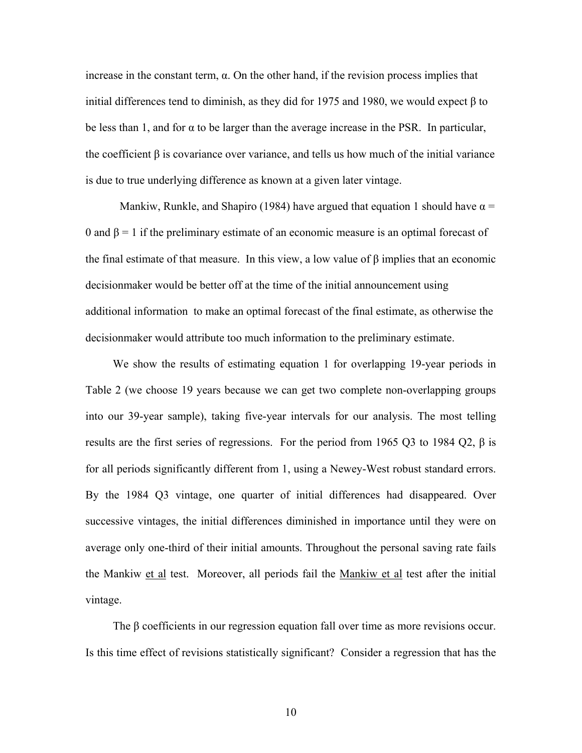increase in the constant term,  $\alpha$ . On the other hand, if the revision process implies that initial differences tend to diminish, as they did for 1975 and 1980, we would expect β to be less than 1, and for  $\alpha$  to be larger than the average increase in the PSR. In particular, the coefficient  $\beta$  is covariance over variance, and tells us how much of the initial variance is due to true underlying difference as known at a given later vintage.

Mankiw, Runkle, and Shapiro (1984) have argued that equation 1 should have  $\alpha$  = 0 and  $\beta$  = 1 if the preliminary estimate of an economic measure is an optimal forecast of the final estimate of that measure. In this view, a low value of  $\beta$  implies that an economic decisionmaker would be better off at the time of the initial announcement using additional information to make an optimal forecast of the final estimate, as otherwise the decisionmaker would attribute too much information to the preliminary estimate.

We show the results of estimating equation 1 for overlapping 19-year periods in Table 2 (we choose 19 years because we can get two complete non-overlapping groups into our 39-year sample), taking five-year intervals for our analysis. The most telling results are the first series of regressions. For the period from 1965 Q3 to 1984 Q2, β is for all periods significantly different from 1, using a Newey-West robust standard errors. By the 1984 Q3 vintage, one quarter of initial differences had disappeared. Over successive vintages, the initial differences diminished in importance until they were on average only one-third of their initial amounts. Throughout the personal saving rate fails the Mankiw et al test. Moreover, all periods fail the Mankiw et al test after the initial vintage.

 The β coefficients in our regression equation fall over time as more revisions occur. Is this time effect of revisions statistically significant? Consider a regression that has the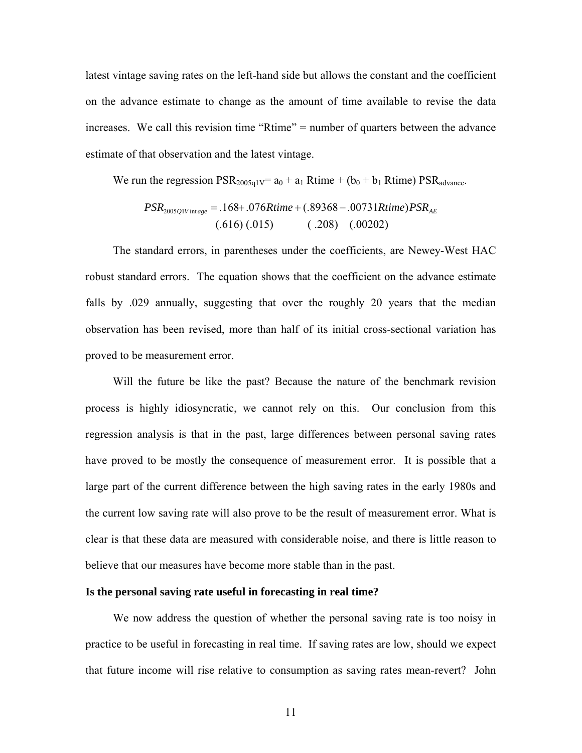latest vintage saving rates on the left-hand side but allows the constant and the coefficient on the advance estimate to change as the amount of time available to revise the data increases. We call this revision time "Rtime" = number of quarters between the advance estimate of that observation and the latest vintage.

We run the regression  $PSR_{2005q1V} = a_0 + a_1$  Rtime + (b<sub>0</sub> + b<sub>1</sub> Rtime)  $PSR_{advance}$ .

$$
PSR_{2005QIV\,\text{intage}} = .168 + .076R \, \text{time} + (.89368 - .00731R \, \text{time}) PSR_{AE}
$$
\n
$$
(.616) \, (.015) \qquad (.208) \quad (.00202)
$$

The standard errors, in parentheses under the coefficients, are Newey-West HAC robust standard errors. The equation shows that the coefficient on the advance estimate falls by .029 annually, suggesting that over the roughly 20 years that the median observation has been revised, more than half of its initial cross-sectional variation has proved to be measurement error.

Will the future be like the past? Because the nature of the benchmark revision process is highly idiosyncratic, we cannot rely on this. Our conclusion from this regression analysis is that in the past, large differences between personal saving rates have proved to be mostly the consequence of measurement error. It is possible that a large part of the current difference between the high saving rates in the early 1980s and the current low saving rate will also prove to be the result of measurement error. What is clear is that these data are measured with considerable noise, and there is little reason to believe that our measures have become more stable than in the past.

#### **Is the personal saving rate useful in forecasting in real time?**

We now address the question of whether the personal saving rate is too noisy in practice to be useful in forecasting in real time. If saving rates are low, should we expect that future income will rise relative to consumption as saving rates mean-revert? John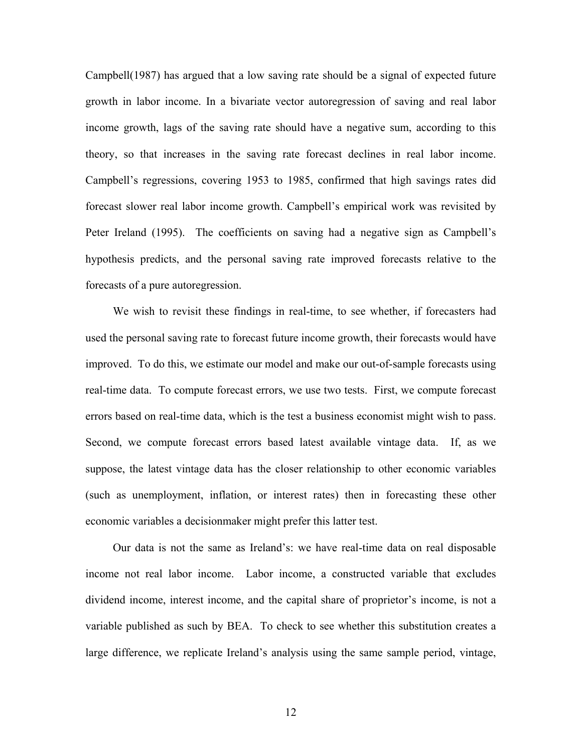Campbell(1987) has argued that a low saving rate should be a signal of expected future growth in labor income. In a bivariate vector autoregression of saving and real labor income growth, lags of the saving rate should have a negative sum, according to this theory, so that increases in the saving rate forecast declines in real labor income. Campbell's regressions, covering 1953 to 1985, confirmed that high savings rates did forecast slower real labor income growth. Campbell's empirical work was revisited by Peter Ireland (1995). The coefficients on saving had a negative sign as Campbell's hypothesis predicts, and the personal saving rate improved forecasts relative to the forecasts of a pure autoregression.

We wish to revisit these findings in real-time, to see whether, if forecasters had used the personal saving rate to forecast future income growth, their forecasts would have improved. To do this, we estimate our model and make our out-of-sample forecasts using real-time data. To compute forecast errors, we use two tests. First, we compute forecast errors based on real-time data, which is the test a business economist might wish to pass. Second, we compute forecast errors based latest available vintage data. If, as we suppose, the latest vintage data has the closer relationship to other economic variables (such as unemployment, inflation, or interest rates) then in forecasting these other economic variables a decisionmaker might prefer this latter test.

Our data is not the same as Ireland's: we have real-time data on real disposable income not real labor income. Labor income, a constructed variable that excludes dividend income, interest income, and the capital share of proprietor's income, is not a variable published as such by BEA. To check to see whether this substitution creates a large difference, we replicate Ireland's analysis using the same sample period, vintage,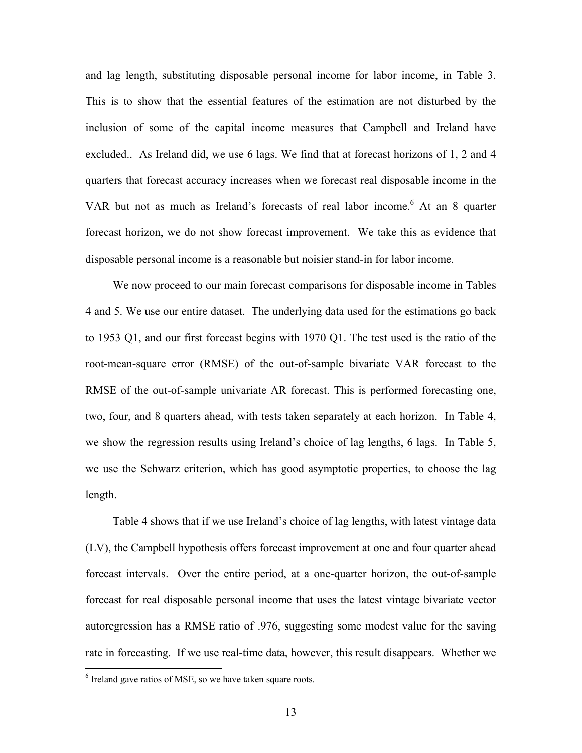and lag length, substituting disposable personal income for labor income, in Table 3. This is to show that the essential features of the estimation are not disturbed by the inclusion of some of the capital income measures that Campbell and Ireland have excluded.. As Ireland did, we use 6 lags. We find that at forecast horizons of 1, 2 and 4 quarters that forecast accuracy increases when we forecast real disposable income in the VARbut not as much as Ireland's forecasts of real labor income.<sup>6</sup> At an 8 quarter forecast horizon, we do not show forecast improvement. We take this as evidence that disposable personal income is a reasonable but noisier stand-in for labor income.

We now proceed to our main forecast comparisons for disposable income in Tables 4 and 5. We use our entire dataset. The underlying data used for the estimations go back to 1953 Q1, and our first forecast begins with 1970 Q1. The test used is the ratio of the root-mean-square error (RMSE) of the out-of-sample bivariate VAR forecast to the RMSE of the out-of-sample univariate AR forecast. This is performed forecasting one, two, four, and 8 quarters ahead, with tests taken separately at each horizon. In Table 4, we show the regression results using Ireland's choice of lag lengths, 6 lags. In Table 5, we use the Schwarz criterion, which has good asymptotic properties, to choose the lag length.

Table 4 shows that if we use Ireland's choice of lag lengths, with latest vintage data (LV), the Campbell hypothesis offers forecast improvement at one and four quarter ahead forecast intervals. Over the entire period, at a one-quarter horizon, the out-of-sample forecast for real disposable personal income that uses the latest vintage bivariate vector autoregression has a RMSE ratio of .976, suggesting some modest value for the saving rate in forecasting. If we use real-time data, however, this result disappears. Whether we

<u>.</u>

<span id="page-14-0"></span> $6$  Ireland gave ratios of MSE, so we have taken square roots.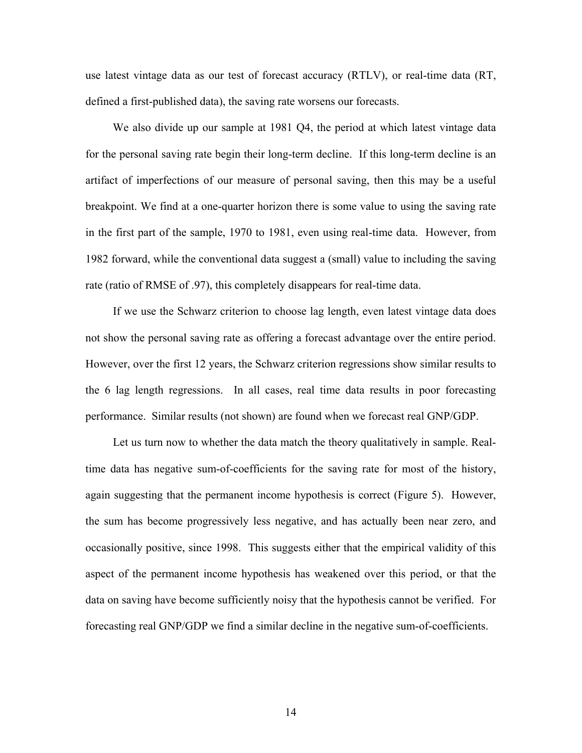use latest vintage data as our test of forecast accuracy (RTLV), or real-time data (RT, defined a first-published data), the saving rate worsens our forecasts.

We also divide up our sample at 1981 Q4, the period at which latest vintage data for the personal saving rate begin their long-term decline. If this long-term decline is an artifact of imperfections of our measure of personal saving, then this may be a useful breakpoint. We find at a one-quarter horizon there is some value to using the saving rate in the first part of the sample, 1970 to 1981, even using real-time data. However, from 1982 forward, while the conventional data suggest a (small) value to including the saving rate (ratio of RMSE of .97), this completely disappears for real-time data.

If we use the Schwarz criterion to choose lag length, even latest vintage data does not show the personal saving rate as offering a forecast advantage over the entire period. However, over the first 12 years, the Schwarz criterion regressions show similar results to the 6 lag length regressions. In all cases, real time data results in poor forecasting performance. Similar results (not shown) are found when we forecast real GNP/GDP.

Let us turn now to whether the data match the theory qualitatively in sample. Realtime data has negative sum-of-coefficients for the saving rate for most of the history, again suggesting that the permanent income hypothesis is correct (Figure 5). However, the sum has become progressively less negative, and has actually been near zero, and occasionally positive, since 1998. This suggests either that the empirical validity of this aspect of the permanent income hypothesis has weakened over this period, or that the data on saving have become sufficiently noisy that the hypothesis cannot be verified. For forecasting real GNP/GDP we find a similar decline in the negative sum-of-coefficients.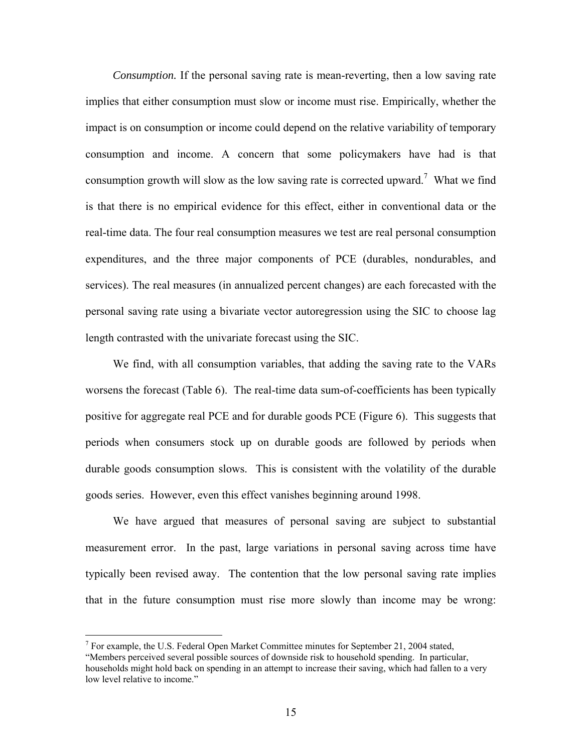*Consumption.* If the personal saving rate is mean-reverting, then a low saving rate implies that either consumption must slow or income must rise. Empirically, whether the impact is on consumption or income could depend on the relative variability of temporary consumption and income. A concern that some policymakers have had is that consumption growth will slow as the low saving rate is corrected upward.<sup>[7](#page-16-0)</sup> What we find is that there is no empirical evidence for this effect, either in conventional data or the real-time data. The four real consumption measures we test are real personal consumption expenditures, and the three major components of PCE (durables, nondurables, and services). The real measures (in annualized percent changes) are each forecasted with the personal saving rate using a bivariate vector autoregression using the SIC to choose lag length contrasted with the univariate forecast using the SIC.

We find, with all consumption variables, that adding the saving rate to the VARs worsens the forecast (Table 6). The real-time data sum-of-coefficients has been typically positive for aggregate real PCE and for durable goods PCE (Figure 6). This suggests that periods when consumers stock up on durable goods are followed by periods when durable goods consumption slows. This is consistent with the volatility of the durable goods series. However, even this effect vanishes beginning around 1998.

We have argued that measures of personal saving are subject to substantial measurement error. In the past, large variations in personal saving across time have typically been revised away. The contention that the low personal saving rate implies that in the future consumption must rise more slowly than income may be wrong:

 $\overline{a}$ 

<span id="page-16-0"></span><sup>&</sup>lt;sup>7</sup> For example, the U.S. Federal Open Market Committee minutes for September 21, 2004 stated,

<sup>&</sup>quot;Members perceived several possible sources of downside risk to household spending. In particular, households might hold back on spending in an attempt to increase their saving, which had fallen to a very low level relative to income."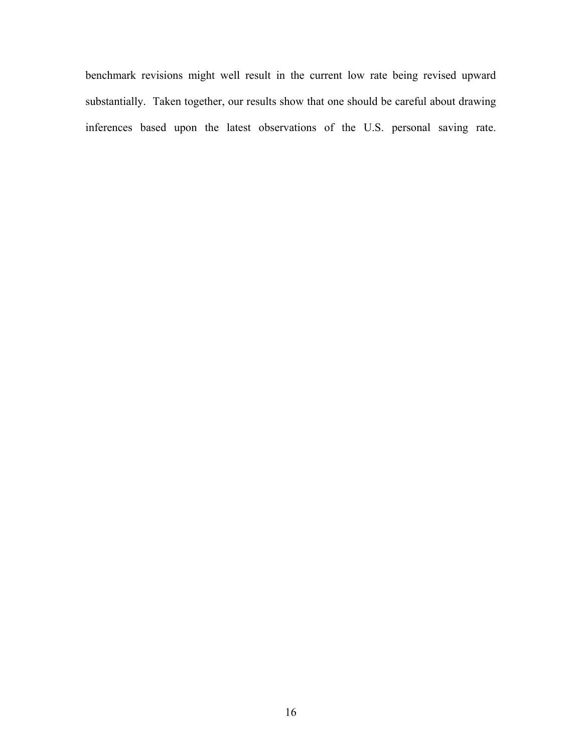benchmark revisions might well result in the current low rate being revised upward substantially. Taken together, our results show that one should be careful about drawing inferences based upon the latest observations of the U.S. personal saving rate.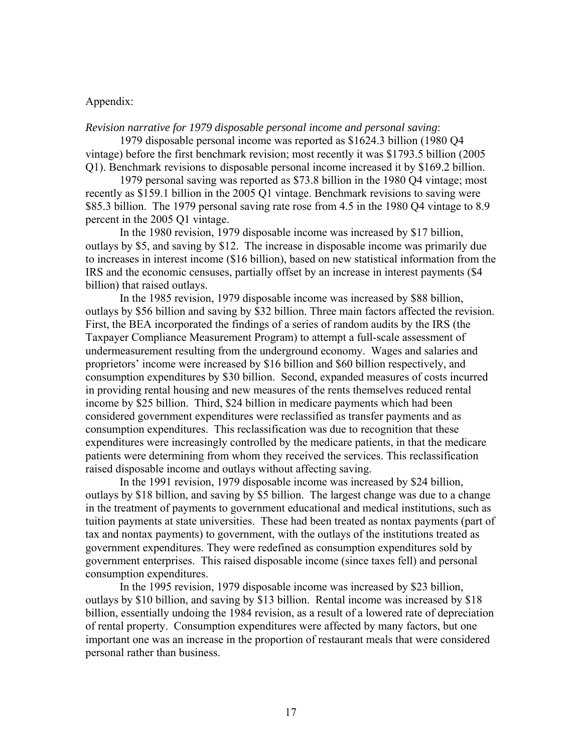### Appendix:

*Revision narrative for 1979 disposable personal income and personal saving*:

1979 disposable personal income was reported as \$1624.3 billion (1980 Q4 vintage) before the first benchmark revision; most recently it was \$1793.5 billion (2005 Q1). Benchmark revisions to disposable personal income increased it by \$169.2 billion.

1979 personal saving was reported as \$73.8 billion in the 1980 Q4 vintage; most recently as \$159.1 billion in the 2005 Q1 vintage. Benchmark revisions to saving were \$85.3 billion. The 1979 personal saving rate rose from 4.5 in the 1980 Q4 vintage to 8.9 percent in the 2005 Q1 vintage.

In the 1980 revision, 1979 disposable income was increased by \$17 billion, outlays by \$5, and saving by \$12. The increase in disposable income was primarily due to increases in interest income (\$16 billion), based on new statistical information from the IRS and the economic censuses, partially offset by an increase in interest payments (\$4 billion) that raised outlays.

In the 1985 revision, 1979 disposable income was increased by \$88 billion, outlays by \$56 billion and saving by \$32 billion. Three main factors affected the revision. First, the BEA incorporated the findings of a series of random audits by the IRS (the Taxpayer Compliance Measurement Program) to attempt a full-scale assessment of undermeasurement resulting from the underground economy. Wages and salaries and proprietors' income were increased by \$16 billion and \$60 billion respectively, and consumption expenditures by \$30 billion. Second, expanded measures of costs incurred in providing rental housing and new measures of the rents themselves reduced rental income by \$25 billion. Third, \$24 billion in medicare payments which had been considered government expenditures were reclassified as transfer payments and as consumption expenditures. This reclassification was due to recognition that these expenditures were increasingly controlled by the medicare patients, in that the medicare patients were determining from whom they received the services. This reclassification raised disposable income and outlays without affecting saving.

In the 1991 revision, 1979 disposable income was increased by \$24 billion, outlays by \$18 billion, and saving by \$5 billion. The largest change was due to a change in the treatment of payments to government educational and medical institutions, such as tuition payments at state universities. These had been treated as nontax payments (part of tax and nontax payments) to government, with the outlays of the institutions treated as government expenditures. They were redefined as consumption expenditures sold by government enterprises. This raised disposable income (since taxes fell) and personal consumption expenditures.

In the 1995 revision, 1979 disposable income was increased by \$23 billion, outlays by \$10 billion, and saving by \$13 billion. Rental income was increased by \$18 billion, essentially undoing the 1984 revision, as a result of a lowered rate of depreciation of rental property. Consumption expenditures were affected by many factors, but one important one was an increase in the proportion of restaurant meals that were considered personal rather than business.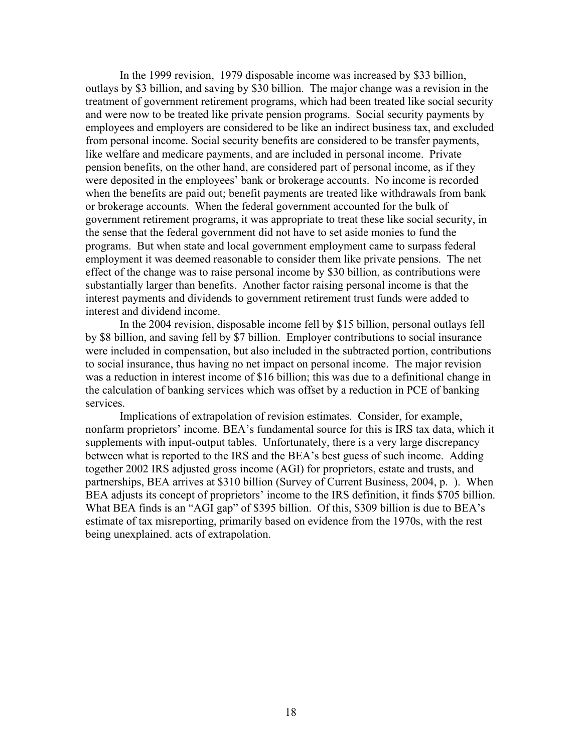In the 1999 revision, 1979 disposable income was increased by \$33 billion, outlays by \$3 billion, and saving by \$30 billion. The major change was a revision in the treatment of government retirement programs, which had been treated like social security and were now to be treated like private pension programs. Social security payments by employees and employers are considered to be like an indirect business tax, and excluded from personal income. Social security benefits are considered to be transfer payments, like welfare and medicare payments, and are included in personal income. Private pension benefits, on the other hand, are considered part of personal income, as if they were deposited in the employees' bank or brokerage accounts. No income is recorded when the benefits are paid out; benefit payments are treated like withdrawals from bank or brokerage accounts. When the federal government accounted for the bulk of government retirement programs, it was appropriate to treat these like social security, in the sense that the federal government did not have to set aside monies to fund the programs. But when state and local government employment came to surpass federal employment it was deemed reasonable to consider them like private pensions. The net effect of the change was to raise personal income by \$30 billion, as contributions were substantially larger than benefits. Another factor raising personal income is that the interest payments and dividends to government retirement trust funds were added to interest and dividend income.

In the 2004 revision, disposable income fell by \$15 billion, personal outlays fell by \$8 billion, and saving fell by \$7 billion. Employer contributions to social insurance were included in compensation, but also included in the subtracted portion, contributions to social insurance, thus having no net impact on personal income. The major revision was a reduction in interest income of \$16 billion; this was due to a definitional change in the calculation of banking services which was offset by a reduction in PCE of banking services.

Implications of extrapolation of revision estimates. Consider, for example, nonfarm proprietors' income. BEA's fundamental source for this is IRS tax data, which it supplements with input-output tables. Unfortunately, there is a very large discrepancy between what is reported to the IRS and the BEA's best guess of such income. Adding together 2002 IRS adjusted gross income (AGI) for proprietors, estate and trusts, and partnerships, BEA arrives at \$310 billion (Survey of Current Business, 2004, p. ). When BEA adjusts its concept of proprietors' income to the IRS definition, it finds \$705 billion. What BEA finds is an "AGI gap" of \$395 billion. Of this, \$309 billion is due to BEA's estimate of tax misreporting, primarily based on evidence from the 1970s, with the rest being unexplained. acts of extrapolation.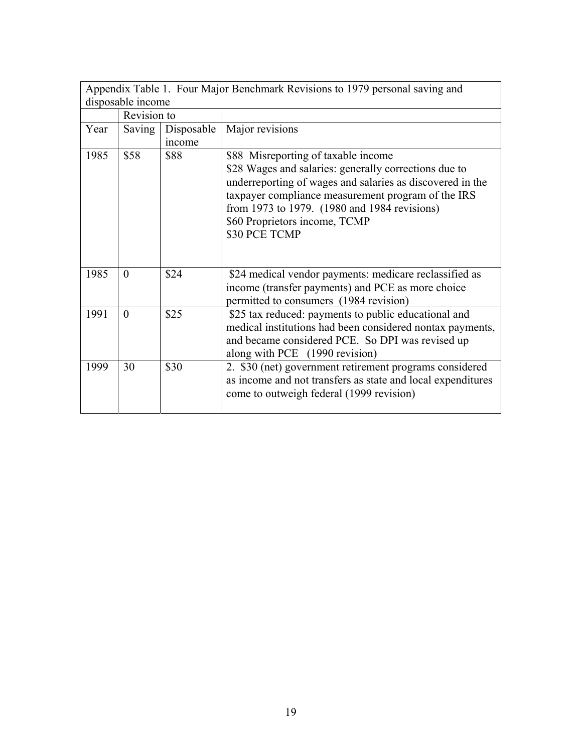|      | Appendix Table 1. Four Major Benchmark Revisions to 1979 personal saving and |            |                                                                                                                                                                                                                                                                                                                   |  |  |  |  |
|------|------------------------------------------------------------------------------|------------|-------------------------------------------------------------------------------------------------------------------------------------------------------------------------------------------------------------------------------------------------------------------------------------------------------------------|--|--|--|--|
|      | disposable income                                                            |            |                                                                                                                                                                                                                                                                                                                   |  |  |  |  |
|      | Revision to                                                                  |            |                                                                                                                                                                                                                                                                                                                   |  |  |  |  |
| Year | Saving                                                                       | Disposable | Major revisions                                                                                                                                                                                                                                                                                                   |  |  |  |  |
|      |                                                                              | income     |                                                                                                                                                                                                                                                                                                                   |  |  |  |  |
| 1985 | \$58                                                                         | \$88       | \$88 Misreporting of taxable income<br>\$28 Wages and salaries: generally corrections due to<br>underreporting of wages and salaries as discovered in the<br>taxpayer compliance measurement program of the IRS<br>from 1973 to 1979. (1980 and 1984 revisions)<br>\$60 Proprietors income, TCMP<br>\$30 PCE TCMP |  |  |  |  |
| 1985 | $\theta$                                                                     | \$24       | \$24 medical vendor payments: medicare reclassified as<br>income (transfer payments) and PCE as more choice<br>permitted to consumers (1984 revision)                                                                                                                                                             |  |  |  |  |
| 1991 | $\Omega$                                                                     | \$25       | \$25 tax reduced: payments to public educational and<br>medical institutions had been considered nontax payments,<br>and became considered PCE. So DPI was revised up<br>along with PCE (1990 revision)                                                                                                           |  |  |  |  |
| 1999 | 30                                                                           | \$30       | 2. \$30 (net) government retirement programs considered<br>as income and not transfers as state and local expenditures<br>come to outweigh federal (1999 revision)                                                                                                                                                |  |  |  |  |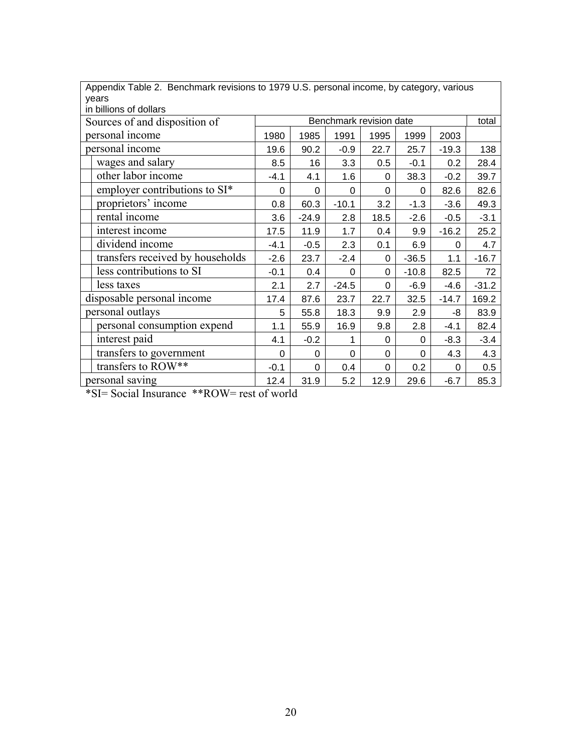| Appendix Table 2. Benchmark revisions to 1979 U.S. personal income, by category, various<br>years |        |         |                         |      |         |         |         |
|---------------------------------------------------------------------------------------------------|--------|---------|-------------------------|------|---------|---------|---------|
| in billions of dollars                                                                            |        |         |                         |      |         |         |         |
| Sources of and disposition of                                                                     |        |         | Benchmark revision date |      |         |         | total   |
| personal income                                                                                   | 1980   | 1985    | 1991                    | 1995 | 1999    | 2003    |         |
| personal income                                                                                   | 19.6   | 90.2    | $-0.9$                  | 22.7 | 25.7    | $-19.3$ | 138     |
| wages and salary                                                                                  | 8.5    | 16      | 3.3                     | 0.5  | $-0.1$  | 0.2     | 28.4    |
| other labor income                                                                                | $-4.1$ | 4.1     | 1.6                     | 0    | 38.3    | $-0.2$  | 39.7    |
| employer contributions to SI*                                                                     | 0      | 0       | 0                       | 0    | 0       | 82.6    | 82.6    |
| proprietors' income                                                                               | 0.8    | 60.3    | $-10.1$                 | 3.2  | $-1.3$  | $-3.6$  | 49.3    |
| rental income                                                                                     | 3.6    | $-24.9$ | 2.8                     | 18.5 | $-2.6$  | $-0.5$  | $-3.1$  |
| interest income                                                                                   | 17.5   | 11.9    | 1.7                     | 0.4  | 9.9     | $-16.2$ | 25.2    |
| dividend income                                                                                   | $-4.1$ | $-0.5$  | 2.3                     | 0.1  | 6.9     | 0       | 4.7     |
| transfers received by households                                                                  | $-2.6$ | 23.7    | $-2.4$                  | 0    | $-36.5$ | 1.1     | $-16.7$ |
| less contributions to SI                                                                          | $-0.1$ | 0.4     | 0                       | 0    | $-10.8$ | 82.5    | 72      |
| less taxes                                                                                        | 2.1    | 2.7     | $-24.5$                 | 0    | $-6.9$  | $-4.6$  | $-31.2$ |
| disposable personal income                                                                        | 17.4   | 87.6    | 23.7                    | 22.7 | 32.5    | $-14.7$ | 169.2   |
| personal outlays                                                                                  | 5      | 55.8    | 18.3                    | 9.9  | 2.9     | -8      | 83.9    |
| personal consumption expend                                                                       | 1.1    | 55.9    | 16.9                    | 9.8  | 2.8     | $-4.1$  | 82.4    |
| interest paid                                                                                     | 4.1    | $-0.2$  | 1                       | 0    | 0       | $-8.3$  | $-3.4$  |
| transfers to government<br>0<br>0<br>4.3<br>$\Omega$<br>$\Omega$<br>$\Omega$                      |        |         |                         |      | 4.3     |         |         |
| transfers to ROW**<br>0.4<br>0.2<br>$-0.1$<br>0<br>$\Omega$<br>$\Omega$                           |        |         |                         |      | 0.5     |         |         |
| personal saving                                                                                   | 12.4   | 31.9    | 5.2                     | 12.9 | 29.6    | $-6.7$  | 85.3    |
| *SI= Social Insurance **ROW= rest of world                                                        |        |         |                         |      |         |         |         |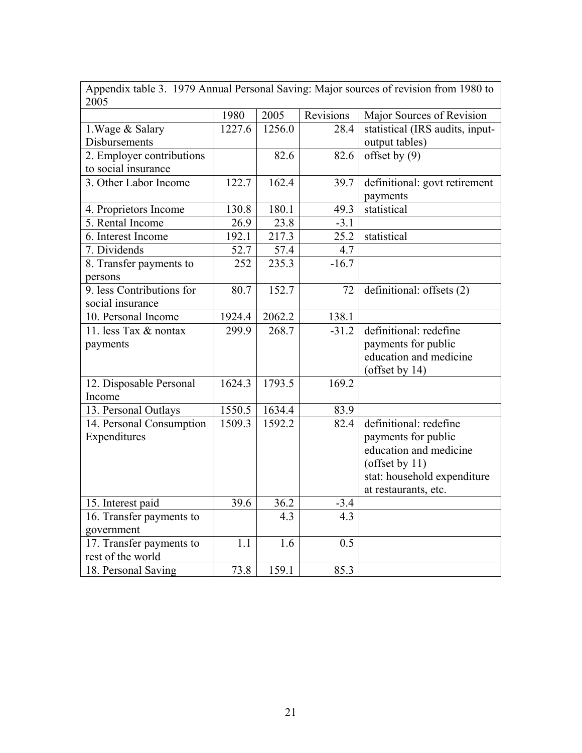| Appendix table 3. 1979 Annual Personal Saving: Major sources of revision from 1980 to<br>2005 |        |        |           |                                                                                                                                                     |  |  |
|-----------------------------------------------------------------------------------------------|--------|--------|-----------|-----------------------------------------------------------------------------------------------------------------------------------------------------|--|--|
|                                                                                               | 1980   | 2005   | Revisions | Major Sources of Revision                                                                                                                           |  |  |
| 1. Wage & Salary<br>Disbursements                                                             | 1227.6 | 1256.0 | 28.4      | statistical (IRS audits, input-<br>output tables)                                                                                                   |  |  |
| 2. Employer contributions<br>to social insurance                                              |        | 82.6   | 82.6      | offset by $(9)$                                                                                                                                     |  |  |
| 3. Other Labor Income                                                                         | 122.7  | 162.4  | 39.7      | definitional: govt retirement<br>payments                                                                                                           |  |  |
| 4. Proprietors Income                                                                         | 130.8  | 180.1  | 49.3      | statistical                                                                                                                                         |  |  |
| 5. Rental Income                                                                              | 26.9   | 23.8   | $-3.1$    |                                                                                                                                                     |  |  |
| 6. Interest Income                                                                            | 192.1  | 217.3  | 25.2      | statistical                                                                                                                                         |  |  |
| 7. Dividends                                                                                  | 52.7   | 57.4   | 4.7       |                                                                                                                                                     |  |  |
| 8. Transfer payments to<br>persons                                                            | 252    | 235.3  | $-16.7$   |                                                                                                                                                     |  |  |
| 9. less Contributions for<br>social insurance                                                 | 80.7   | 152.7  | 72        | definitional: offsets (2)                                                                                                                           |  |  |
| 10. Personal Income                                                                           | 1924.4 | 2062.2 | 138.1     |                                                                                                                                                     |  |  |
| 11. less Tax & nontax<br>payments                                                             | 299.9  | 268.7  | $-31.2$   | definitional: redefine<br>payments for public<br>education and medicine<br>(offset by 14)                                                           |  |  |
| 12. Disposable Personal<br>Income                                                             | 1624.3 | 1793.5 | 169.2     |                                                                                                                                                     |  |  |
| 13. Personal Outlays                                                                          | 1550.5 | 1634.4 | 83.9      |                                                                                                                                                     |  |  |
| 14. Personal Consumption<br>Expenditures                                                      | 1509.3 | 1592.2 | 82.4      | definitional: redefine<br>payments for public<br>education and medicine<br>(offset by $11$ )<br>stat: household expenditure<br>at restaurants, etc. |  |  |
| 15. Interest paid                                                                             | 39.6   | 36.2   | $-3.4$    |                                                                                                                                                     |  |  |
| 16. Transfer payments to<br>government                                                        |        | 4.3    | 4.3       |                                                                                                                                                     |  |  |
| 17. Transfer payments to<br>rest of the world                                                 | 1.1    | 1.6    | 0.5       |                                                                                                                                                     |  |  |
| 18. Personal Saving                                                                           | 73.8   | 159.1  | 85.3      |                                                                                                                                                     |  |  |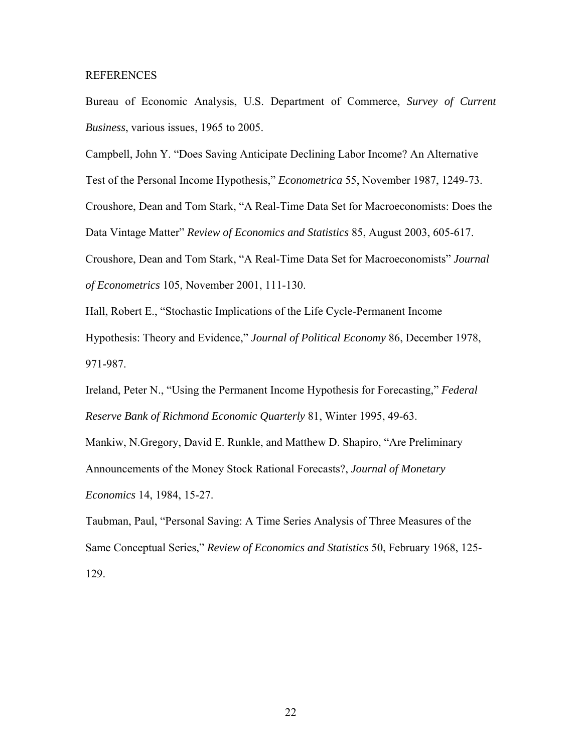#### REFERENCES

Bureau of Economic Analysis, U.S. Department of Commerce, *Survey of Current Business*, various issues, 1965 to 2005.

Campbell, John Y. "Does Saving Anticipate Declining Labor Income? An Alternative

Test of the Personal Income Hypothesis," *Econometrica* 55, November 1987, 1249-73.

Croushore, Dean and Tom Stark, "A Real-Time Data Set for Macroeconomists: Does the Data Vintage Matter" *Review of Economics and Statistics* 85, August 2003, 605-617.

Croushore, Dean and Tom Stark, "A Real-Time Data Set for Macroeconomists" *Journal of Econometrics* 105, November 2001, 111-130.

Hall, Robert E., "Stochastic Implications of the Life Cycle-Permanent Income Hypothesis: Theory and Evidence," *Journal of Political Economy* 86, December 1978, 971-987.

Ireland, Peter N., "Using the Permanent Income Hypothesis for Forecasting," *Federal Reserve Bank of Richmond Economic Quarterly* 81, Winter 1995, 49-63.

Mankiw, N.Gregory, David E. Runkle, and Matthew D. Shapiro, "Are Preliminary Announcements of the Money Stock Rational Forecasts?, *Journal of Monetary Economics* 14, 1984, 15-27.

Taubman, Paul, "Personal Saving: A Time Series Analysis of Three Measures of the Same Conceptual Series," *Review of Economics and Statistics* 50, February 1968, 125- 129.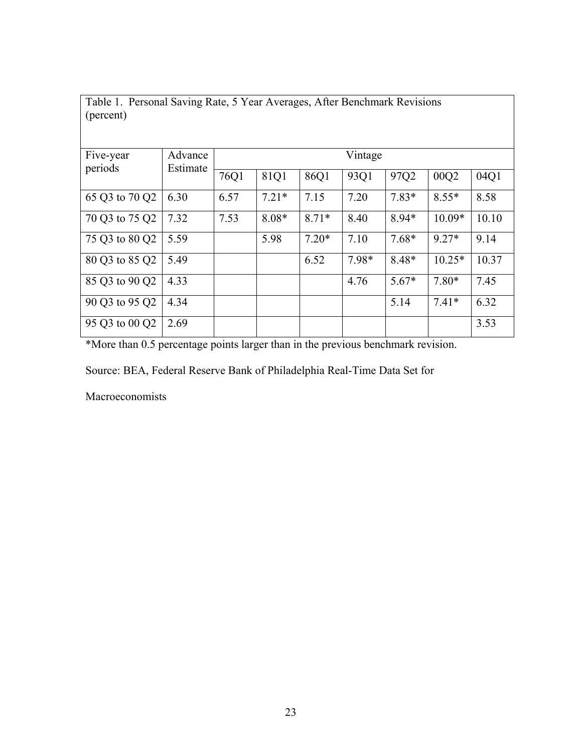Table 1. Personal Saving Rate, 5 Year Averages, After Benchmark Revisions (percent)

| Five-year      | Advance  |      | Vintage |         |       |         |          |       |
|----------------|----------|------|---------|---------|-------|---------|----------|-------|
| periods        | Estimate | 76Q1 | 81Q1    | 86Q1    | 93Q1  | 97Q2    | 00Q2     | 04Q1  |
| 65 Q3 to 70 Q2 | 6.30     | 6.57 | $7.21*$ | 7.15    | 7.20  | $7.83*$ | $8.55*$  | 8.58  |
| 70 Q3 to 75 Q2 | 7.32     | 7.53 | $8.08*$ | $8.71*$ | 8.40  | 8.94*   | $10.09*$ | 10.10 |
| 75 Q3 to 80 Q2 | 5.59     |      | 5.98    | $7.20*$ | 7.10  | $7.68*$ | $9.27*$  | 9.14  |
| 80 Q3 to 85 Q2 | 5.49     |      |         | 6.52    | 7.98* | 8.48*   | $10.25*$ | 10.37 |
| 85 Q3 to 90 Q2 | 4.33     |      |         |         | 4.76  | $5.67*$ | $7.80*$  | 7.45  |
| 90 Q3 to 95 Q2 | 4.34     |      |         |         |       | 5.14    | $7.41*$  | 6.32  |
| 95 Q3 to 00 Q2 | 2.69     |      |         |         |       |         |          | 3.53  |

\*More than 0.5 percentage points larger than in the previous benchmark revision.

Source: BEA, Federal Reserve Bank of Philadelphia Real-Time Data Set for

Macroeconomists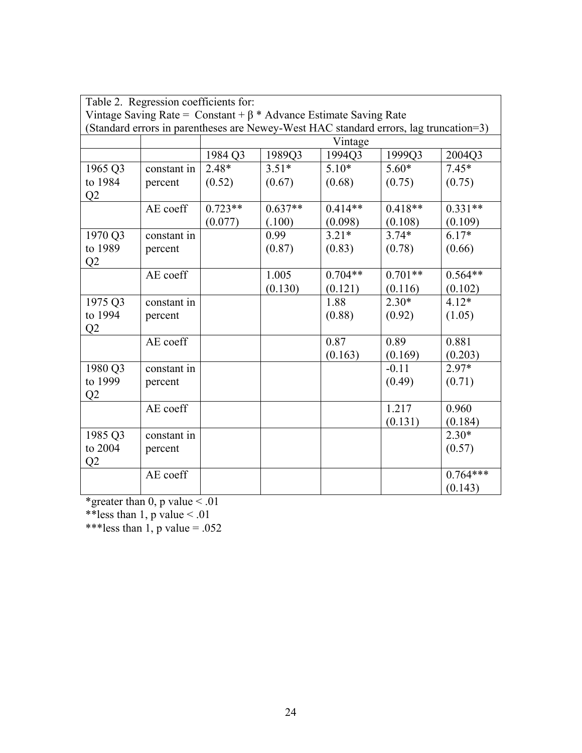|                                                                                       | Table 2. Regression coefficients for: |           |           |           |           |            |  |  |
|---------------------------------------------------------------------------------------|---------------------------------------|-----------|-----------|-----------|-----------|------------|--|--|
| Vintage Saving Rate = $Constant + \beta * Advance Estimate$ Saving Rate               |                                       |           |           |           |           |            |  |  |
| (Standard errors in parentheses are Newey-West HAC standard errors, lag truncation=3) |                                       |           |           |           |           |            |  |  |
|                                                                                       |                                       |           |           | Vintage   |           |            |  |  |
|                                                                                       |                                       | 1984 Q3   | 1989Q3    | 1994Q3    | 1999Q3    | 2004Q3     |  |  |
| 1965 Q3                                                                               | constant in                           | $2.48*$   | $3.51*$   | $5.10*$   | $5.60*$   | $7.45*$    |  |  |
| to 1984                                                                               | percent                               | (0.52)    | (0.67)    | (0.68)    | (0.75)    | (0.75)     |  |  |
| Q2                                                                                    |                                       |           |           |           |           |            |  |  |
|                                                                                       | AE coeff                              | $0.723**$ | $0.637**$ | $0.414**$ | $0.418**$ | $0.331**$  |  |  |
|                                                                                       |                                       | (0.077)   | (.100)    | (0.098)   | (0.108)   | (0.109)    |  |  |
| 1970 Q3                                                                               | constant in                           |           | 0.99      | $3.21*$   | $3.74*$   | $6.17*$    |  |  |
| to 1989                                                                               | percent                               |           | (0.87)    | (0.83)    | (0.78)    | (0.66)     |  |  |
| Q2                                                                                    |                                       |           |           |           |           |            |  |  |
|                                                                                       | AE coeff                              |           | 1.005     | $0.704**$ | $0.701**$ | $0.564**$  |  |  |
|                                                                                       |                                       |           | (0.130)   | (0.121)   | (0.116)   | (0.102)    |  |  |
| 1975 Q3                                                                               | constant in                           |           |           | 1.88      | $2.30*$   | $4.12*$    |  |  |
| to 1994                                                                               | percent                               |           |           | (0.88)    | (0.92)    | (1.05)     |  |  |
| Q2                                                                                    |                                       |           |           |           |           |            |  |  |
|                                                                                       | AE coeff                              |           |           | 0.87      | 0.89      | 0.881      |  |  |
|                                                                                       |                                       |           |           | (0.163)   | (0.169)   | (0.203)    |  |  |
| 1980 Q3                                                                               | constant in                           |           |           |           | $-0.11$   | 2.97*      |  |  |
| to 1999                                                                               | percent                               |           |           |           | (0.49)    | (0.71)     |  |  |
| Q2                                                                                    |                                       |           |           |           |           |            |  |  |
|                                                                                       | AE coeff                              |           |           |           | 1.217     | 0.960      |  |  |
|                                                                                       |                                       |           |           |           | (0.131)   | (0.184)    |  |  |
| 1985 Q3                                                                               | constant in                           |           |           |           |           | $2.30*$    |  |  |
| to 2004                                                                               | percent                               |           |           |           |           | (0.57)     |  |  |
| Q2                                                                                    |                                       |           |           |           |           |            |  |  |
|                                                                                       | AE coeff                              |           |           |           |           | $0.764***$ |  |  |
|                                                                                       |                                       |           |           |           |           | (0.143)    |  |  |

\*greater than 0, p value  $\leq 0.01$ 

\*\*less than 1, p value  $\leq 0.01$ 

\*\*\*less than 1, p value =  $.052$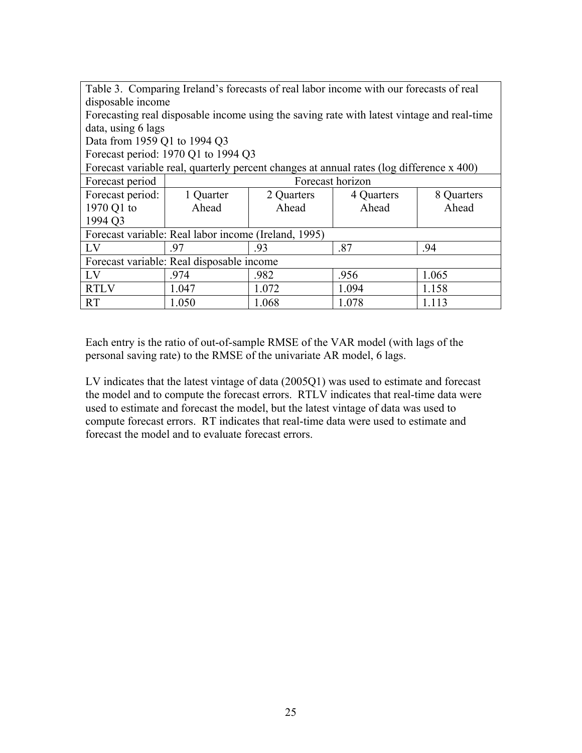| Table 3. Comparing Ireland's forecasts of real labor income with our forecasts of real |                                                      |                       |                                                                                            |            |  |  |  |  |
|----------------------------------------------------------------------------------------|------------------------------------------------------|-----------------------|--------------------------------------------------------------------------------------------|------------|--|--|--|--|
| disposable income                                                                      |                                                      |                       |                                                                                            |            |  |  |  |  |
|                                                                                        |                                                      |                       | Forecasting real disposable income using the saving rate with latest vintage and real-time |            |  |  |  |  |
| data, using 6 lags                                                                     |                                                      |                       |                                                                                            |            |  |  |  |  |
| Data from 1959 Q1 to 1994 Q3                                                           |                                                      |                       |                                                                                            |            |  |  |  |  |
|                                                                                        | Forecast period: 1970 Q1 to 1994 Q3                  |                       |                                                                                            |            |  |  |  |  |
|                                                                                        |                                                      |                       | Forecast variable real, quarterly percent changes at annual rates (log difference x 400)   |            |  |  |  |  |
| Forecast period                                                                        |                                                      |                       | Forecast horizon                                                                           |            |  |  |  |  |
| Forecast period:                                                                       | 1 Quarter                                            | 2 Quarters            | 4 Quarters                                                                                 | 8 Quarters |  |  |  |  |
| 1970 Q1 to                                                                             | Ahead                                                | Ahead                 | Ahead                                                                                      | Ahead      |  |  |  |  |
| 1994 O <sub>3</sub>                                                                    |                                                      |                       |                                                                                            |            |  |  |  |  |
|                                                                                        | Forecast variable: Real labor income (Ireland, 1995) |                       |                                                                                            |            |  |  |  |  |
| LV                                                                                     | .97                                                  | -93                   | .87                                                                                        | .94        |  |  |  |  |
| Forecast variable: Real disposable income                                              |                                                      |                       |                                                                                            |            |  |  |  |  |
| LV                                                                                     | .974                                                 | 1.065<br>.982<br>.956 |                                                                                            |            |  |  |  |  |
| <b>RTLV</b>                                                                            | 1.047                                                | 1.072                 | 1.094                                                                                      | 1.158      |  |  |  |  |
| <b>RT</b>                                                                              | 1.050                                                | 1.068                 | 1.078                                                                                      | 1.113      |  |  |  |  |

Each entry is the ratio of out-of-sample RMSE of the VAR model (with lags of the personal saving rate) to the RMSE of the univariate AR model, 6 lags.

LV indicates that the latest vintage of data (2005Q1) was used to estimate and forecast the model and to compute the forecast errors. RTLV indicates that real-time data were used to estimate and forecast the model, but the latest vintage of data was used to compute forecast errors. RT indicates that real-time data were used to estimate and forecast the model and to evaluate forecast errors.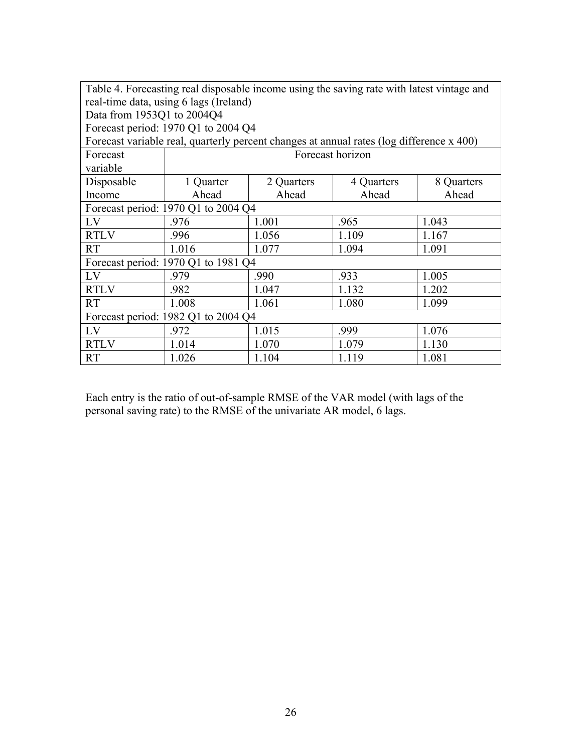|                                     | Table 4. Forecasting real disposable income using the saving rate with latest vintage and |            |                  |            |  |  |  |
|-------------------------------------|-------------------------------------------------------------------------------------------|------------|------------------|------------|--|--|--|
|                                     | real-time data, using 6 lags (Ireland)                                                    |            |                  |            |  |  |  |
| Data from 1953Q1 to 2004Q4          |                                                                                           |            |                  |            |  |  |  |
|                                     | Forecast period: 1970 Q1 to 2004 Q4                                                       |            |                  |            |  |  |  |
|                                     | Forecast variable real, quarterly percent changes at annual rates (log difference x 400)  |            |                  |            |  |  |  |
| Forecast                            |                                                                                           |            | Forecast horizon |            |  |  |  |
| variable                            |                                                                                           |            |                  |            |  |  |  |
| Disposable                          | 1 Quarter                                                                                 | 2 Quarters | 4 Quarters       | 8 Quarters |  |  |  |
| Income                              | Ahead                                                                                     | Ahead      | Ahead            | Ahead      |  |  |  |
|                                     | Forecast period: 1970 Q1 to 2004 Q4                                                       |            |                  |            |  |  |  |
| LV                                  | .976                                                                                      | 1.001      | .965             | 1.043      |  |  |  |
| <b>RTLV</b>                         | .996                                                                                      | 1.056      | 1.109            | 1.167      |  |  |  |
| <b>RT</b>                           | 1.016                                                                                     | 1.077      | 1.094            | 1.091      |  |  |  |
|                                     | Forecast period: 1970 Q1 to 1981 Q4                                                       |            |                  |            |  |  |  |
| LV                                  | .979                                                                                      | .990       | .933             | 1.005      |  |  |  |
| <b>RTLV</b>                         | .982                                                                                      | 1.047      | 1.132            | 1.202      |  |  |  |
| <b>RT</b>                           | 1.008                                                                                     | 1.061      | 1.080            | 1.099      |  |  |  |
| Forecast period: 1982 Q1 to 2004 Q4 |                                                                                           |            |                  |            |  |  |  |
| LV                                  | .972                                                                                      | 1.015      | .999             | 1.076      |  |  |  |
| <b>RTLV</b>                         | 1.014                                                                                     | 1.070      | 1.079            | 1.130      |  |  |  |
| <b>RT</b>                           | 1.026                                                                                     | 1.104      | 1.119            | 1.081      |  |  |  |

Each entry is the ratio of out-of-sample RMSE of the VAR model (with lags of the personal saving rate) to the RMSE of the univariate AR model, 6 lags.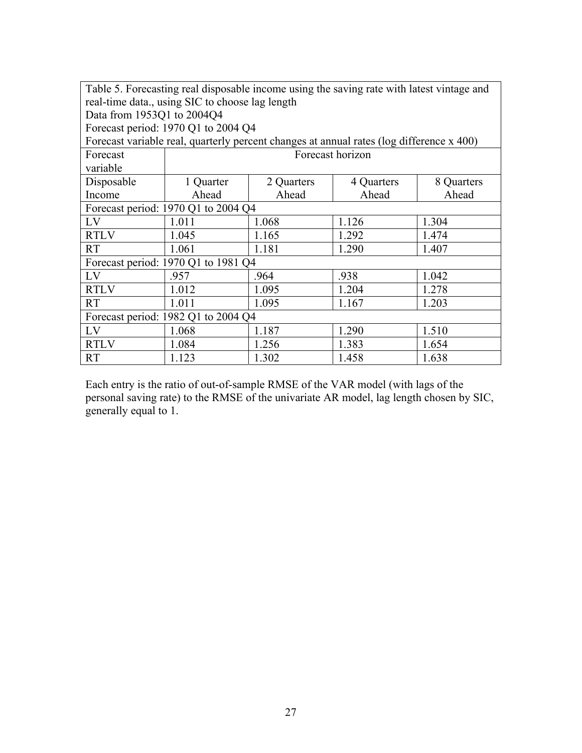| Table 5. Forecasting real disposable income using the saving rate with latest vintage and<br>real-time data., using SIC to choose lag length |                                                                                          |            |                  |            |  |  |  |
|----------------------------------------------------------------------------------------------------------------------------------------------|------------------------------------------------------------------------------------------|------------|------------------|------------|--|--|--|
| Data from 1953Q1 to 2004Q4                                                                                                                   |                                                                                          |            |                  |            |  |  |  |
|                                                                                                                                              | Forecast period: 1970 Q1 to 2004 Q4                                                      |            |                  |            |  |  |  |
|                                                                                                                                              | Forecast variable real, quarterly percent changes at annual rates (log difference x 400) |            |                  |            |  |  |  |
| Forecast                                                                                                                                     |                                                                                          |            | Forecast horizon |            |  |  |  |
| variable                                                                                                                                     |                                                                                          |            |                  |            |  |  |  |
| Disposable                                                                                                                                   | 1 Quarter                                                                                | 2 Quarters | 4 Quarters       | 8 Quarters |  |  |  |
| Income                                                                                                                                       | Ahead                                                                                    | Ahead      | Ahead            | Ahead      |  |  |  |
|                                                                                                                                              | Forecast period: 1970 Q1 to 2004 Q4                                                      |            |                  |            |  |  |  |
| LV                                                                                                                                           | 1.011                                                                                    | 1.068      | 1.126            | 1.304      |  |  |  |
| <b>RTLV</b>                                                                                                                                  | 1.045                                                                                    | 1.165      | 1.292            | 1.474      |  |  |  |
| <b>RT</b>                                                                                                                                    | 1.061                                                                                    | 1.181      | 1.290            | 1.407      |  |  |  |
|                                                                                                                                              | Forecast period: 1970 Q1 to 1981 Q4                                                      |            |                  |            |  |  |  |
| LV                                                                                                                                           | .957                                                                                     | .964       | .938             | 1.042      |  |  |  |
| <b>RTLV</b>                                                                                                                                  | 1.012                                                                                    | 1.095      | 1.204            | 1.278      |  |  |  |
| <b>RT</b>                                                                                                                                    | 1.011<br>1.095<br>1.167<br>1.203                                                         |            |                  |            |  |  |  |
| Forecast period: 1982 Q1 to 2004 Q4                                                                                                          |                                                                                          |            |                  |            |  |  |  |
| LV                                                                                                                                           | 1.068                                                                                    | 1.187      | 1.290            | 1.510      |  |  |  |
| <b>RTLV</b>                                                                                                                                  | 1.084                                                                                    | 1.256      | 1.383            | 1.654      |  |  |  |
| <b>RT</b>                                                                                                                                    | 1.123                                                                                    | 1.302      | 1.458            | 1.638      |  |  |  |

Each entry is the ratio of out-of-sample RMSE of the VAR model (with lags of the personal saving rate) to the RMSE of the univariate AR model, lag length chosen by SIC, generally equal to 1.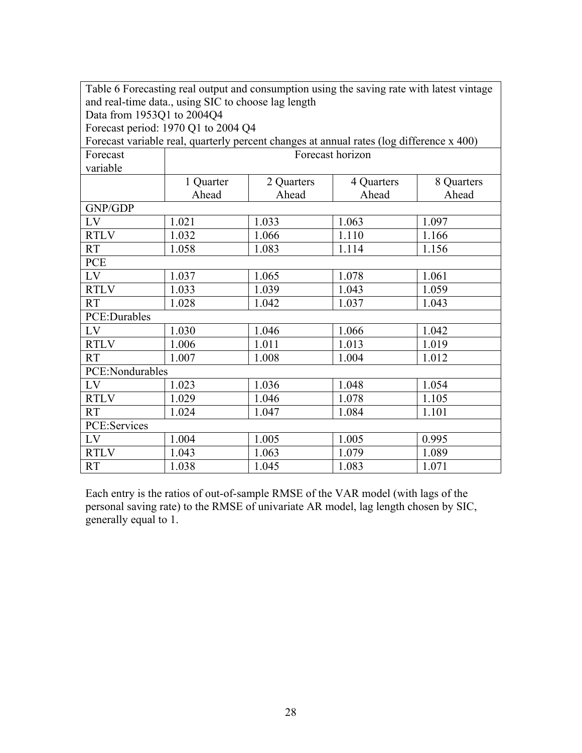| Table 6 Forecasting real output and consumption using the saving rate with latest vintage<br>and real-time data., using SIC to choose lag length |                                                                                          |            |                  |            |  |  |  |
|--------------------------------------------------------------------------------------------------------------------------------------------------|------------------------------------------------------------------------------------------|------------|------------------|------------|--|--|--|
| Data from 1953Q1 to 2004Q4                                                                                                                       |                                                                                          |            |                  |            |  |  |  |
|                                                                                                                                                  | Forecast period: 1970 Q1 to 2004 Q4                                                      |            |                  |            |  |  |  |
|                                                                                                                                                  | Forecast variable real, quarterly percent changes at annual rates (log difference x 400) |            |                  |            |  |  |  |
| Forecast                                                                                                                                         |                                                                                          |            | Forecast horizon |            |  |  |  |
| variable                                                                                                                                         |                                                                                          |            |                  |            |  |  |  |
|                                                                                                                                                  | 1 Quarter                                                                                | 2 Quarters | 4 Quarters       | 8 Quarters |  |  |  |
|                                                                                                                                                  | Ahead                                                                                    | Ahead      | Ahead            | Ahead      |  |  |  |
| GNP/GDP                                                                                                                                          |                                                                                          |            |                  |            |  |  |  |
| LV                                                                                                                                               | 1.021                                                                                    | 1.033      | 1.063            | 1.097      |  |  |  |
| <b>RTLV</b>                                                                                                                                      | 1.032                                                                                    | 1.066      | 1.110            | 1.166      |  |  |  |
| <b>RT</b>                                                                                                                                        | 1.058                                                                                    | 1.083      | 1.114            | 1.156      |  |  |  |
| <b>PCE</b>                                                                                                                                       |                                                                                          |            |                  |            |  |  |  |
| LV                                                                                                                                               | 1.037                                                                                    | 1.065      | 1.078            | 1.061      |  |  |  |
| <b>RTLV</b>                                                                                                                                      | 1.033                                                                                    | 1.039      | 1.043            | 1.059      |  |  |  |
| <b>RT</b>                                                                                                                                        | 1.028                                                                                    | 1.042      | 1.037            | 1.043      |  |  |  |
| PCE:Durables                                                                                                                                     |                                                                                          |            |                  |            |  |  |  |
| LV                                                                                                                                               | 1.030                                                                                    | 1.046      | 1.066            | 1.042      |  |  |  |
| <b>RTLV</b>                                                                                                                                      | 1.006                                                                                    | 1.011      | 1.013            | 1.019      |  |  |  |
| <b>RT</b>                                                                                                                                        | 1.007                                                                                    | 1.008      | 1.004            | 1.012      |  |  |  |
| PCE:Nondurables                                                                                                                                  |                                                                                          |            |                  |            |  |  |  |
| LV                                                                                                                                               | 1.023                                                                                    | 1.036      | 1.048            | 1.054      |  |  |  |
| <b>RTLV</b>                                                                                                                                      | 1.029                                                                                    | 1.046      | 1.078            | 1.105      |  |  |  |
| <b>RT</b>                                                                                                                                        | 1.101<br>1.024<br>1.047<br>1.084                                                         |            |                  |            |  |  |  |
| PCE:Services                                                                                                                                     |                                                                                          |            |                  |            |  |  |  |
| LV                                                                                                                                               | 1.004                                                                                    | 1.005      | 1.005            | 0.995      |  |  |  |
| <b>RTLV</b>                                                                                                                                      | 1.043                                                                                    | 1.063      | 1.079            | 1.089      |  |  |  |
| <b>RT</b>                                                                                                                                        | 1.038                                                                                    | 1.045      | 1.083            | 1.071      |  |  |  |

Each entry is the ratios of out-of-sample RMSE of the VAR model (with lags of the personal saving rate) to the RMSE of univariate AR model, lag length chosen by SIC, generally equal to 1.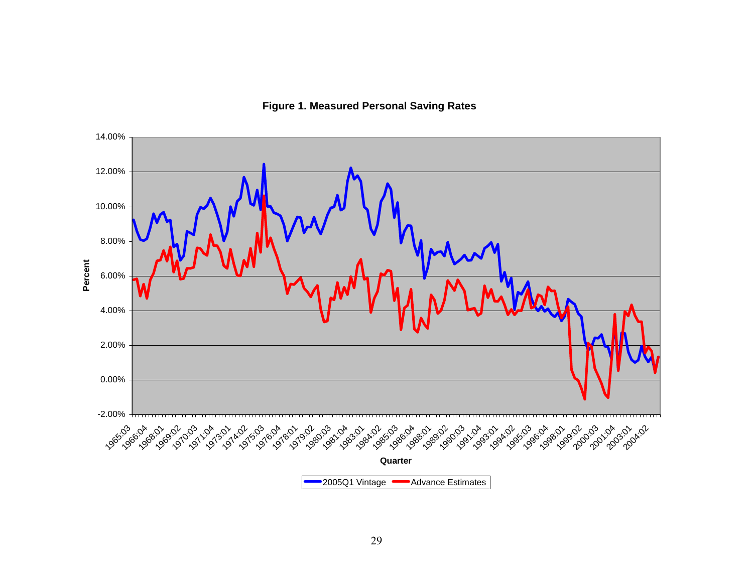

**Figure 1. Measured Personal Saving Rates**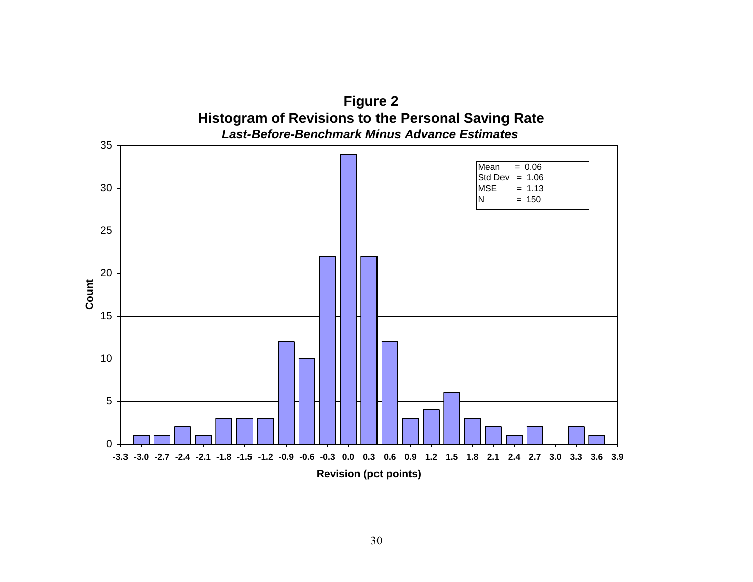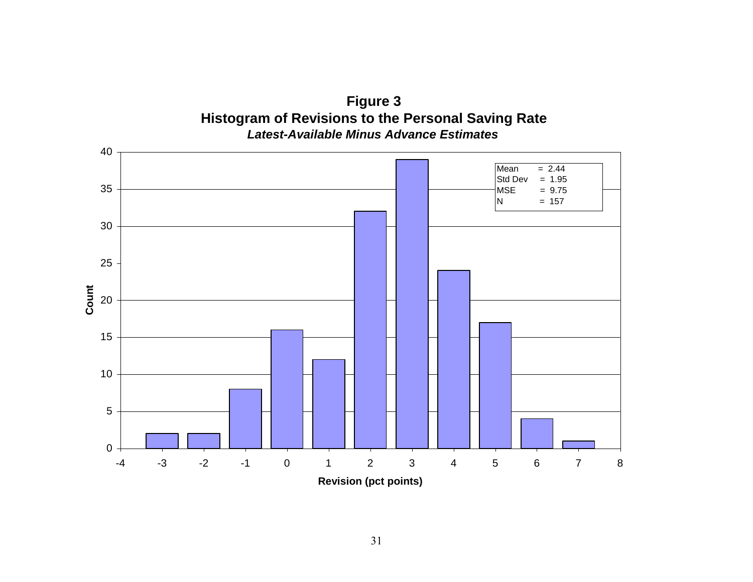

**Figure 3 Histogram of Revisions to the Personal Saving Rate**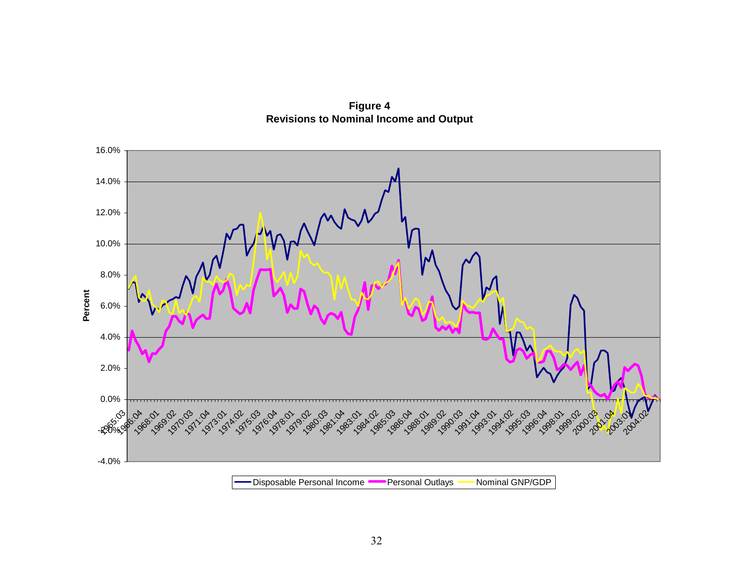

**Figure 4 Revisions to Nominal Income and Output**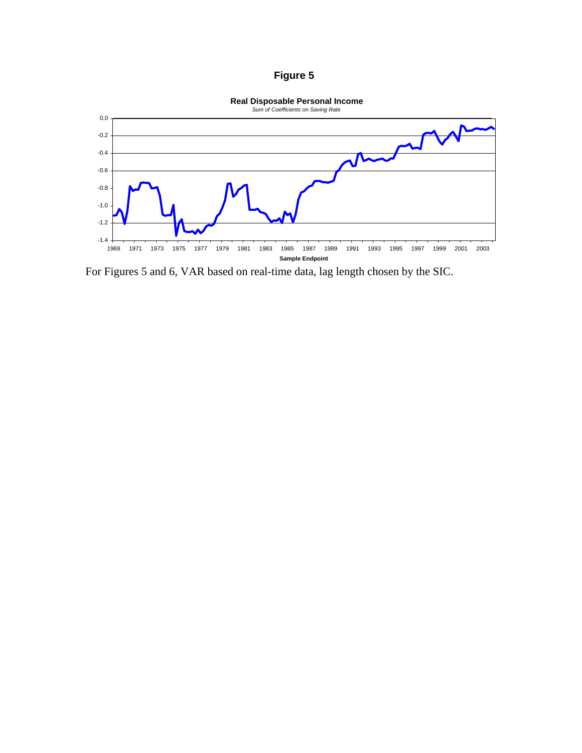# **Figure 5**



For Figures 5 and 6, VAR based on real-time data, lag length chosen by the SIC.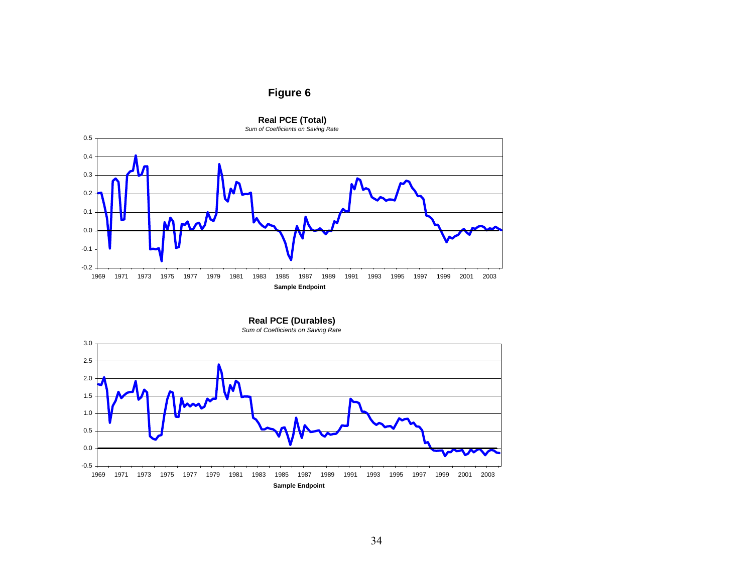# **Figure 6**



**Real PCE (Durables)** *Sum of Coefficients on Saving Rate*